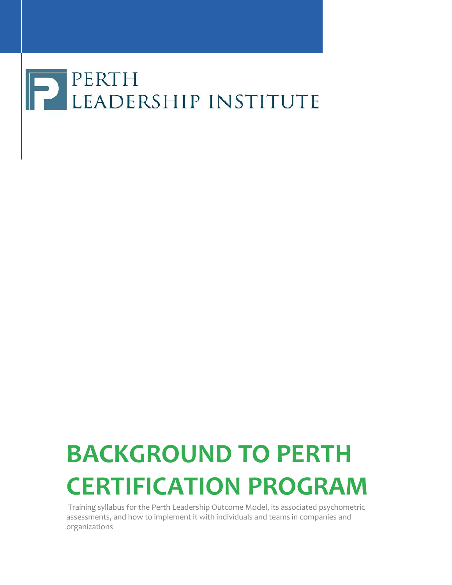# **PERTH**<br>LEADERSHIP INSTITUTE

# **BACKGROUND TO PERTH CERTIFICATION PROGRAM**

Training syllabus for the Perth Leadership Outcome Model, its associated psychometric assessments, and how to implement it with individuals and teams in companies and organizations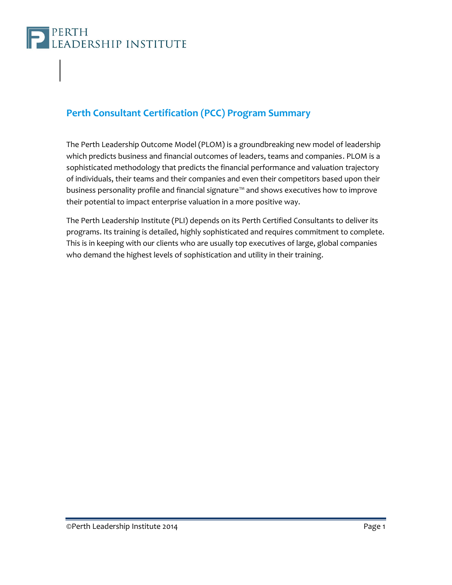

### **Perth Consultant Certification (PCC) Program Summary**

The Perth Leadership Outcome Model (PLOM) is a groundbreaking new model of leadership which predicts business and financial outcomes of leaders, teams and companies. PLOM is a sophisticated methodology that predicts the financial performance and valuation trajectory of individuals, their teams and their companies and even their competitors based upon their business personality profile and financial signature™ and shows executives how to improve their potential to impact enterprise valuation in a more positive way.

The Perth Leadership Institute (PLI) depends on its Perth Certified Consultants to deliver its programs. Its training is detailed, highly sophisticated and requires commitment to complete. This is in keeping with our clients who are usually top executives of large, global companies who demand the highest levels of sophistication and utility in their training.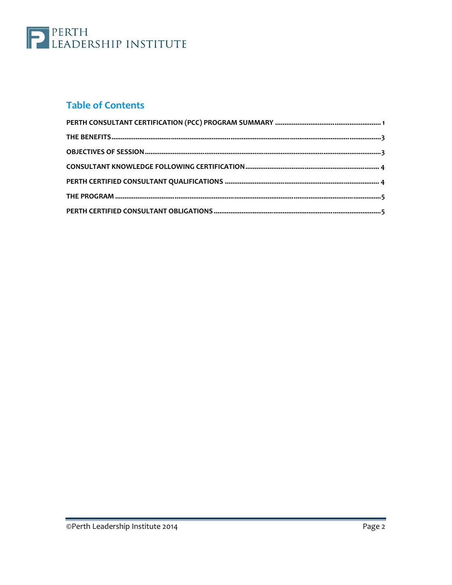

### **Table of Contents**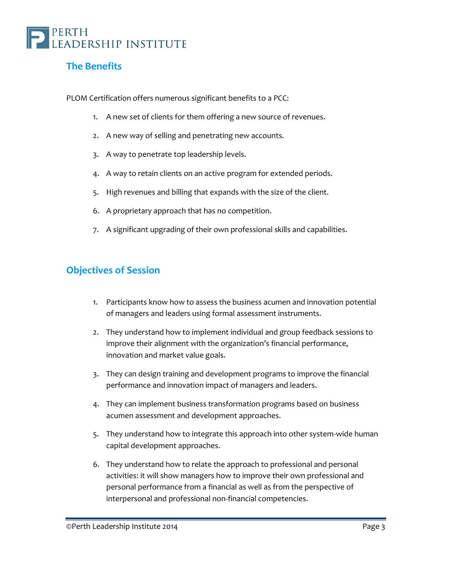

### **The Benefits**

PLOM Certification offers numerous significant benefits to a PCC:

- 1. A new set of clients for them offering a new source of revenues.
- 2. A new way of selling and penetrating new accounts.
- 3. A way to penetrate top leadership levels.
- 4. A way to retain clients on an active program for extended periods.
- 5. High revenues and billing that expands with the size of the client.
- 6. A proprietary approach that has no competition.
- 7. A significant upgrading of their own professional skills and capabilities.

#### **Objectives of Session**

- 1. Participants know how to assess the business acumen and innovation potential of managers and leaders using formal assessment instruments.
- 2. They understand how to implement individual and group feedback sessions to improve their alignment with the organization's financial performance, innovation and market value goals.
- 3. They can design training and development programs to improve the financial performance and innovation impact of managers and leaders.
- 4. They can implement business transformation programs based on business acumen assessment and development approaches.
- 5. They understand how to integrate this approach into other system-wide human capital development approaches.
- 6. They understand how to relate the approach to professional and personal activities: it will show managers how to improve their own professional and personal performance from a financial as well as from the perspective of interpersonal and professional non-financial competencies.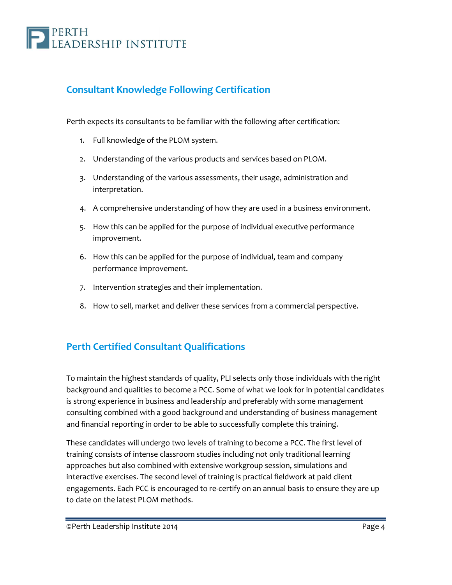# PERTH<br>Leadership institute

### **Consultant Knowledge Following Certification**

Perth expects its consultants to be familiar with the following after certification:

- 1. Full knowledge of the PLOM system.
- 2. Understanding of the various products and services based on PLOM.
- 3. Understanding of the various assessments, their usage, administration and interpretation.
- 4. A comprehensive understanding of how they are used in a business environment.
- 5. How this can be applied for the purpose of individual executive performance improvement.
- 6. How this can be applied for the purpose of individual, team and company performance improvement.
- 7. Intervention strategies and their implementation.
- 8. How to sell, market and deliver these services from a commercial perspective.

### **Perth Certified Consultant Qualifications**

To maintain the highest standards of quality, PLI selects only those individuals with the right background and qualities to become a PCC. Some of what we look for in potential candidates is strong experience in business and leadership and preferably with some management consulting combined with a good background and understanding of business management and financial reporting in order to be able to successfully complete this training.

These candidates will undergo two levels of training to become a PCC. The first level of training consists of intense classroom studies including not only traditional learning approaches but also combined with extensive workgroup session, simulations and interactive exercises. The second level of training is practical fieldwork at paid client engagements. Each PCC is encouraged to re-certify on an annual basis to ensure they are up to date on the latest PLOM methods.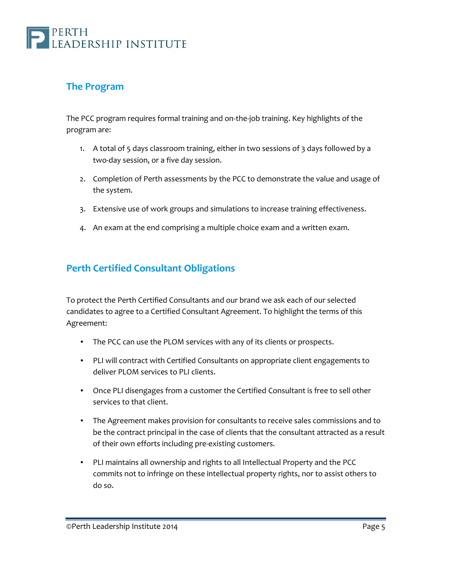

#### **The Program**

The PCC program requires formal training and on-the-job training. Key highlights of the program are:

- 1. A total of 5 days classroom training, either in two sessions of 3 days followed by a two-day session, or a five day session.
- 2. Completion of Perth assessments by the PCC to demonstrate the value and usage of the system.
- 3. Extensive use of work groups and simulations to increase training effectiveness.
- 4. An exam at the end comprising a multiple choice exam and a written exam.

### **Perth Certified Consultant Obligations**

To protect the Perth Certified Consultants and our brand we ask each of our selected candidates to agree to a Certified Consultant Agreement. To highlight the terms of this Agreement:

- The PCC can use the PLOM services with any of its clients or prospects.
- PLI will contract with Certified Consultants on appropriate client engagements to deliver PLOM services to PLI clients.
- Once PLI disengages from a customer the Certified Consultant is free to sell other services to that client.
- The Agreement makes provision for consultants to receive sales commissions and to be the contract principal in the case of clients that the consultant attracted as a result of their own efforts including pre-existing customers.
- PLI maintains all ownership and rights to all Intellectual Property and the PCC commits not to infringe on these intellectual property rights, nor to assist others to do so.